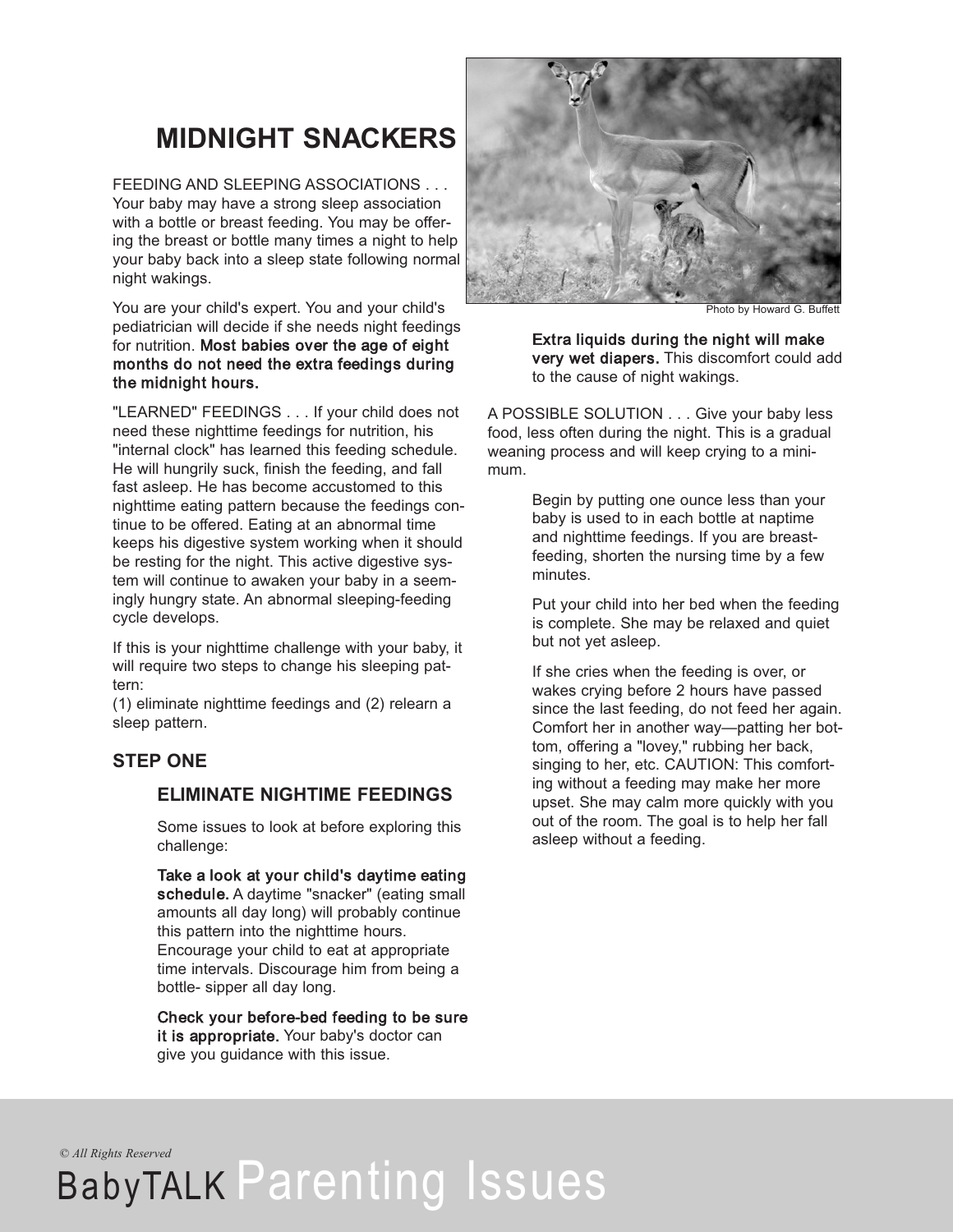## **MIDNIGHT SNACKERS**

FEEDING AND SLEEPING ASSOCIATIONS . . . Your baby may have a strong sleep association with a bottle or breast feeding. You may be offering the breast or bottle many times a night to help your baby back into a sleep state following normal night wakings.

You are your child's expert. You and your child's pediatrician will decide if she needs night feedings for nutrition. Most babies over the age of eight months do not need the extra feedings during the midnight hours.

"LEARNED" FEEDINGS . . . If your child does not need these nighttime feedings for nutrition, his "internal clock" has learned this feeding schedule. He will hungrily suck, finish the feeding, and fall fast asleep. He has become accustomed to this nighttime eating pattern because the feedings continue to be offered. Eating at an abnormal time keeps his digestive system working when it should be resting for the night. This active digestive system will continue to awaken your baby in a seemingly hungry state. An abnormal sleeping-feeding cycle develops.

If this is your nighttime challenge with your baby, it will require two steps to change his sleeping pattern:

(1) eliminate nighttime feedings and (2) relearn a sleep pattern.

### **STEP ONE**

### **ELIMINATE NIGHTIME FEEDINGS**

Some issues to look at before exploring this challenge:

Take a look at your child's daytime eating schedule. A daytime "snacker" (eating small amounts all day long) will probably continue this pattern into the nighttime hours. Encourage your child to eat at appropriate time intervals. Discourage him from being a bottle- sipper all day long.

Check your before-bed feeding to be sure it is appropriate. Your baby's doctor can give you guidance with this issue.



Photo by Howard G. Buffett

Extra liquids during the night will make very wet diapers. This discomfort could add to the cause of night wakings.

A POSSIBLE SOLUTION . . . Give your baby less food, less often during the night. This is a gradual weaning process and will keep crying to a minimum.

> Begin by putting one ounce less than your baby is used to in each bottle at naptime and nighttime feedings. If you are breastfeeding, shorten the nursing time by a few minutes.

Put your child into her bed when the feeding is complete. She may be relaxed and quiet but not yet asleep.

If she cries when the feeding is over, or wakes crying before 2 hours have passed since the last feeding, do not feed her again. Comfort her in another way—patting her bottom, offering a "lovey," rubbing her back, singing to her, etc. CAUTION: This comforting without a feeding may make her more upset. She may calm more quickly with you out of the room. The goal is to help her fall asleep without a feeding.

*© All Rights Reserved*

# BabyTALK Parenting Issues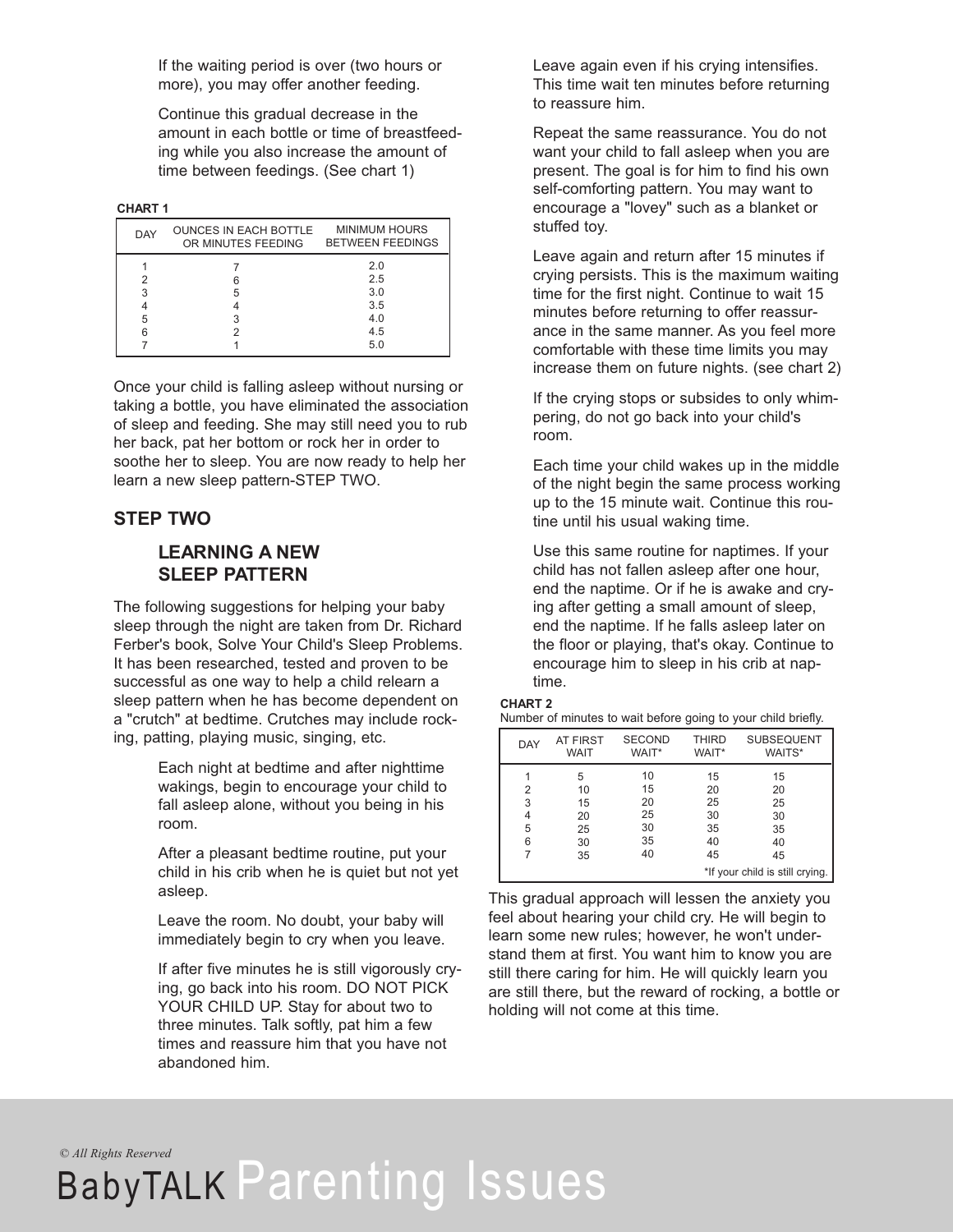If the waiting period is over (two hours or more), you may offer another feeding.

Continue this gradual decrease in the amount in each bottle or time of breastfeeding while you also increase the amount of time between feedings. (See chart 1)

#### **CHART 1**

| DAY    | <b>OUNCES IN EACH BOTTLE</b><br>OR MINUTES FEEDING | <b>MINIMUM HOURS</b><br><b>BETWEEN FEEDINGS</b> |  |
|--------|----------------------------------------------------|-------------------------------------------------|--|
|        |                                                    | 2.0<br>2.5                                      |  |
| 3      | 5                                                  | 3.0                                             |  |
|        |                                                    | 3.5                                             |  |
| 5<br>6 |                                                    | 4.0<br>4.5                                      |  |
|        |                                                    | 5.0                                             |  |

Once your child is falling asleep without nursing or taking a bottle, you have eliminated the association of sleep and feeding. She may still need you to rub her back, pat her bottom or rock her in order to soothe her to sleep. You are now ready to help her learn a new sleep pattern-STEP TWO.

#### **STEP TWO**

### **LEARNING A NEW SLEEP PATTERN**

The following suggestions for helping your baby sleep through the night are taken from Dr. Richard Ferber's book, Solve Your Child's Sleep Problems. It has been researched, tested and proven to be successful as one way to help a child relearn a sleep pattern when he has become dependent on a "crutch" at bedtime. Crutches may include rocking, patting, playing music, singing, etc.

> Each night at bedtime and after nighttime wakings, begin to encourage your child to fall asleep alone, without you being in his room.

After a pleasant bedtime routine, put your child in his crib when he is quiet but not yet asleep.

Leave the room. No doubt, your baby will immediately begin to cry when you leave.

If after five minutes he is still vigorously crying, go back into his room. DO NOT PICK YOUR CHILD UP. Stay for about two to three minutes. Talk softly, pat him a few times and reassure him that you have not abandoned him.

Leave again even if his crying intensifies. This time wait ten minutes before returning to reassure him.

Repeat the same reassurance. You do not want your child to fall asleep when you are present. The goal is for him to find his own self-comforting pattern. You may want to encourage a "lovey" such as a blanket or stuffed toy.

Leave again and return after 15 minutes if crying persists. This is the maximum waiting time for the first night. Continue to wait 15 minutes before returning to offer reassurance in the same manner. As you feel more comfortable with these time limits you may increase them on future nights. (see chart 2)

If the crying stops or subsides to only whimpering, do not go back into your child's room.

Each time your child wakes up in the middle of the night begin the same process working up to the 15 minute wait. Continue this routine until his usual waking time.

Use this same routine for naptimes. If your child has not fallen asleep after one hour, end the naptime. Or if he is awake and crying after getting a small amount of sleep, end the naptime. If he falls asleep later on the floor or playing, that's okay. Continue to encourage him to sleep in his crib at naptime.

#### **CHART 2**

| Number of minutes to wait before going to your child briefly. |  |
|---------------------------------------------------------------|--|
|---------------------------------------------------------------|--|

| <b>DAY</b>                      | <b>AT FIRST</b><br>WAIT | <b>SECOND</b><br>WAIT* | <b>THIRD</b><br>WAIT* | <b>SUBSEQUENT</b><br>WAITS* |
|---------------------------------|-------------------------|------------------------|-----------------------|-----------------------------|
|                                 | 5                       | 10                     | 15                    | 15                          |
| 2                               | 10                      | 15                     | 20                    | 20                          |
| 3                               | 15                      | 20                     | 25                    | 25                          |
| 4                               | 20                      | 25                     | 30                    | 30                          |
| 5                               | 25                      | 30                     | 35                    | 35                          |
| 6                               | 30                      | 35                     | 40                    | 40                          |
| 7                               | 35                      | 40                     | 45                    | 45                          |
| *If your child is still crying. |                         |                        |                       |                             |

This gradual approach will lessen the anxiety you feel about hearing your child cry. He will begin to learn some new rules; however, he won't understand them at first. You want him to know you are still there caring for him. He will quickly learn you are still there, but the reward of rocking, a bottle or holding will not come at this time.

*© All Rights Reserved*

# BabyTALK Parenting Issues